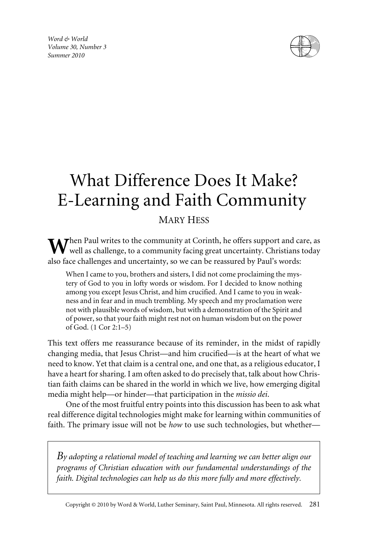*Word & World Volume 30, Number 3 Summer 2010*



# What Difference Does It Make? E-Learning and Faith Community

## MARY HESS

Then Paul writes to the community at Corinth, he offers support and care, as well as challenge, to a community facing great uncertainty. Christians today also face challenges and uncertainty, so we can be reassured by Paul's words:

When I came to you, brothers and sisters, I did not come proclaiming the mystery of God to you in lofty words or wisdom. For I decided to know nothing among you except Jesus Christ, and him crucified. And I came to you in weakness and in fear and in much trembling. My speech and my proclamation were not with plausible words of wisdom, but with a demonstration of the Spirit and of power, so that your faith might rest not on human wisdom but on the power of God. (1 Cor 2:1–5)

This text offers me reassurance because of its reminder, in the midst of rapidly changing media, that Jesus Christ—and him crucified—is at the heart of what we need to know. Yet that claim is a central one, and one that, as a religious educator, I have a heart for sharing. I am often asked to do precisely that, talk about how Christian faith claims can be shared in the world in which we live, how emerging digital media might help—or hinder—that participation in the *missio dei*.

One of the most fruitful entry points into this discussion has been to ask what real difference digital technologies might make for learning within communities of faith. The primary issue will not be *how* to use such technologies, but whether—

*By adopting a relational model of teaching and learning we can better align our programs of Christian education with our fundamental understandings of the faith. Digital technologies can help us do this more fully and more effectively.*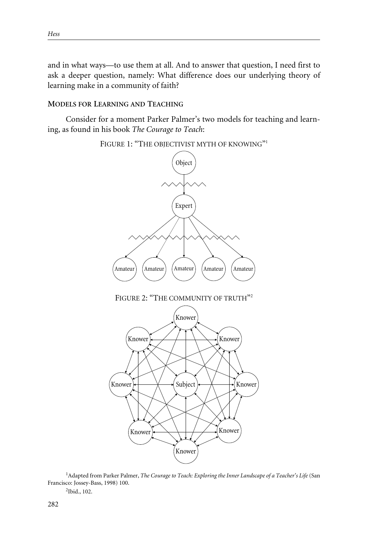and in what ways—to use them at all. And to answer that question, I need first to ask a deeper question, namely: What difference does our underlying theory of learning make in a community of faith?

## **MODELS FOR LEARNING AND TEACHING**

Consider for a moment Parker Palmer's two models for teaching and learning, as found in his book *The Courage to Teach*:



<sup>1</sup> Adapted from Parker Palmer, *The Courage to Teach: Exploring the Inner Landscape of a Teacher's Life* (San Francisco: Jossey-Bass, 1998) 100.

2 Ibid., 102.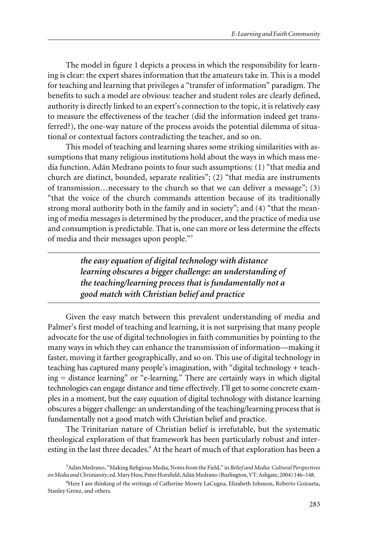The model in figure 1 depicts a process in which the responsibility for learning is clear: the expert shares information that the amateurs take in. This is a model for teaching and learning that privileges a "transfer of information" paradigm. The benefits to such a model are obvious: teacher and student roles are clearly defined, authority is directly linked to an expert's connection to the topic, it is relatively easy to measure the effectiveness of the teacher (did the information indeed get transferred?), the one-way nature of the process avoids the potential dilemma of situational or contextual factors contradicting the teacher, and so on.

This model of teaching and learning shares some striking similarities with assumptions that many religious institutions hold about the ways in which mass media function. Adán Medrano points to four such assumptions: (1) "that media and church are distinct, bounded, separate realities"; (2) "that media are instruments of transmission…necessary to the church so that we can deliver a message"; (3) "that the voice of the church commands attention because of its traditionally strong moral authority both in the family and in society"; and (4) "that the meaning of media messages is determined by the producer, and the practice of media use and consumption is predictable. That is, one can more or less determine the effects of media and their messages upon people."<sup>3</sup>

> *the easy equation of digital technology with distance learning obscures a bigger challenge: an understanding of the teaching/learning process that is fundamentally not a good match with Christian belief and practice*

Given the easy match between this prevalent understanding of media and Palmer's first model of teaching and learning, it is not surprising that many people advocate for the use of digital technologies in faith communities by pointing to the many ways in which they can enhance the transmission of information—making it faster, moving it farther geographically, and so on. This use of digital technology in teaching has captured many people's imagination, with "digital technology + teaching = distance learning" or "e-learning." There are certainly ways in which digital technologies can engage distance and time effectively. I'll get to some concrete examples in a moment, but the easy equation of digital technology with distance learning obscures a bigger challenge: an understanding of the teaching/learning process that is fundamentally not a good match with Christian belief and practice.

The Trinitarian nature of Christian belief is irrefutable, but the systematic theological exploration of that framework has been particularly robust and interesting in the last three decades.<sup>4</sup> At the heart of much of that exploration has been a

<sup>3</sup> Adán Medrano, "Making Religious Media, Notes from the Field," in *Belief and Media: Cultural Perspectives on Media and Christianity*, ed. Mary Hess, Peter Horsfield, Adán Medrano (Burlington, VT: Ashgate, 2004) 146–148.

<sup>&</sup>lt;sup>4</sup>Here I am thinking of the writings of Catherine Mowry LaCugna, Elizabeth Johnson, Roberto Goizueta, Stanley Grenz, and others.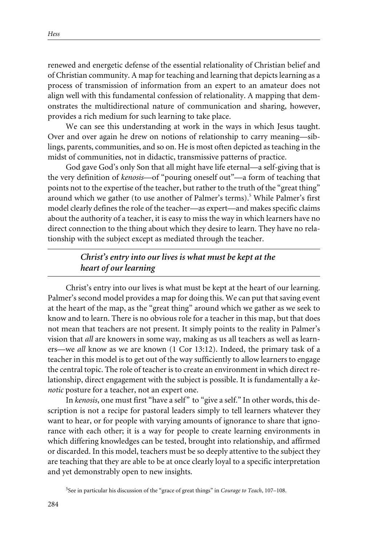renewed and energetic defense of the essential relationality of Christian belief and of Christian community. A map for teaching and learning that depicts learning as a process of transmission of information from an expert to an amateur does not align well with this fundamental confession of relationality. A mapping that demonstrates the multidirectional nature of communication and sharing, however, provides a rich medium for such learning to take place.

We can see this understanding at work in the ways in which Jesus taught. Over and over again he drew on notions of relationship to carry meaning—siblings, parents, communities, and so on. He is most often depicted as teaching in the midst of communities, not in didactic, transmissive patterns of practice.

God gave God's only Son that all might have life eternal—a self-giving that is the very definition of *kenosis*—of "pouring oneself out"—a form of teaching that points not to the expertise of the teacher, but rather to the truth of the "great thing" around which we gather (to use another of Palmer's terms).<sup>5</sup> While Palmer's first model clearly defines the role of the teacher—as expert—and makes specific claims about the authority of a teacher, it is easy to miss the way in which learners have no direct connection to the thing about which they desire to learn. They have no relationship with the subject except as mediated through the teacher.

## *Christ's entry into our lives is what must be kept at the heart of our learning*

Christ's entry into our lives is what must be kept at the heart of our learning. Palmer's second model provides a map for doing this. We can put that saving event at the heart of the map, as the "great thing" around which we gather as we seek to know and to learn. There is no obvious role for a teacher in this map, but that does not mean that teachers are not present. It simply points to the reality in Palmer's vision that *all* are knowers in some way, making as us all teachers as well as learners—we *all* know as we are known (1 Cor 13:12). Indeed, the primary task of a teacher in this model is to get out of the way sufficiently to allow learners to engage the central topic. The role of teacher is to create an environment in which direct relationship, direct engagement with the subject is possible. It is fundamentally a *kenotic* posture for a teacher, not an expert one.

In *kenosis*, one must first "have a self" to "give a self." In other words, this description is not a recipe for pastoral leaders simply to tell learners whatever they want to hear, or for people with varying amounts of ignorance to share that ignorance with each other; it is a way for people to create learning environments in which differing knowledges can be tested, brought into relationship, and affirmed or discarded. In this model, teachers must be so deeply attentive to the subject they are teaching that they are able to be at once clearly loyal to a specific interpretation and yet demonstrably open to new insights.

<sup>5</sup> See in particular his discussion of the "grace of great things" in *Courage to Teach*, 107–108.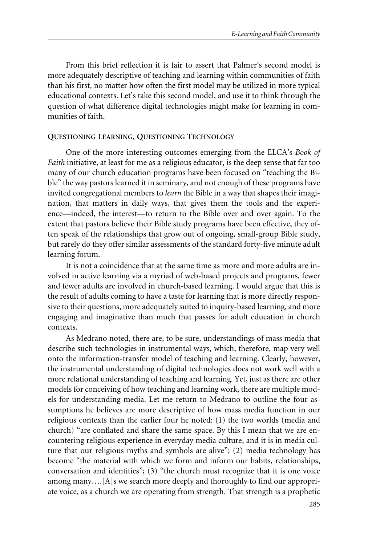From this brief reflection it is fair to assert that Palmer's second model is more adequately descriptive of teaching and learning within communities of faith than his first, no matter how often the first model may be utilized in more typical educational contexts. Let's take this second model, and use it to think through the question of what difference digital technologies might make for learning in communities of faith.

#### **QUESTIONING LEARNING, QUESTIONING TECHNOLOGY**

One of the more interesting outcomes emerging from the ELCA's *Book of Faith* initiative, at least for me as a religious educator, is the deep sense that far too many of our church education programs have been focused on "teaching the Bible" the way pastors learned it in seminary, and not enough of these programs have invited congregational members to *learn* the Bible in a way that shapes their imagination, that matters in daily ways, that gives them the tools and the experience—indeed, the interest—to return to the Bible over and over again. To the extent that pastors believe their Bible study programs have been effective, they often speak of the relationships that grow out of ongoing, small-group Bible study, but rarely do they offer similar assessments of the standard forty-five minute adult learning forum.

It is not a coincidence that at the same time as more and more adults are involved in active learning via a myriad of web-based projects and programs, fewer and fewer adults are involved in church-based learning. I would argue that this is the result of adults coming to have a taste for learning that is more directly responsive to their questions, more adequately suited to inquiry-based learning, and more engaging and imaginative than much that passes for adult education in church contexts.

As Medrano noted, there are, to be sure, understandings of mass media that describe such technologies in instrumental ways, which, therefore, map very well onto the information-transfer model of teaching and learning. Clearly, however, the instrumental understanding of digital technologies does not work well with a more relational understanding of teaching and learning. Yet, just as there are other models for conceiving of how teaching and learning work, there are multiple models for understanding media. Let me return to Medrano to outline the four assumptions he believes are more descriptive of how mass media function in our religious contexts than the earlier four he noted: (1) the two worlds (media and church) "are conflated and share the same space. By this I mean that we are encountering religious experience in everyday media culture, and it is in media culture that our religious myths and symbols are alive"; (2) media technology has become "the material with which we form and inform our habits, relationships, conversation and identities"; (3) "the church must recognize that it is one voice among many….[A]s we search more deeply and thoroughly to find our appropriate voice, as a church we are operating from strength. That strength is a prophetic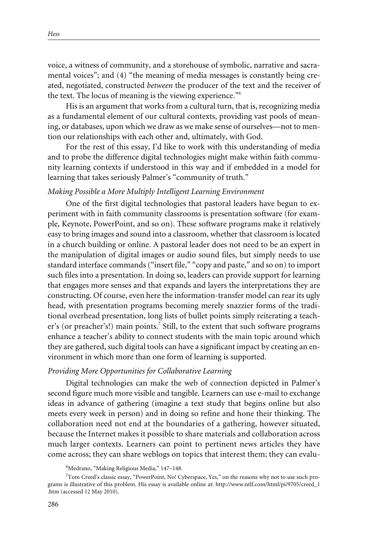voice, a witness of community, and a storehouse of symbolic, narrative and sacramental voices"; and (4) "the meaning of media messages is constantly being created, negotiated, constructed *between* the producer of the text and the receiver of the text. The locus of meaning is the viewing experience."<sup>6</sup>

His is an argument that works from a cultural turn, that is, recognizing media as a fundamental element of our cultural contexts, providing vast pools of meaning, or databases, upon which we draw as we make sense of ourselves—not to mention our relationships with each other and, ultimately, with God.

For the rest of this essay, I'd like to work with this understanding of media and to probe the difference digital technologies might make within faith community learning contexts if understood in this way and if embedded in a model for learning that takes seriously Palmer's "community of truth."

#### *Making Possible a More Multiply Intelligent Learning Environment*

One of the first digital technologies that pastoral leaders have begun to experiment with in faith community classrooms is presentation software (for example, Keynote, PowerPoint, and so on). These software programs make it relatively easy to bring images and sound into a classroom, whether that classroom is located in a church building or online. A pastoral leader does not need to be an expert in the manipulation of digital images or audio sound files, but simply needs to use standard interface commands ("insert file," "copy and paste," and so on) to import such files into a presentation. In doing so, leaders can provide support for learning that engages more senses and that expands and layers the interpretations they are constructing. Of course, even here the information-transfer model can rear its ugly head, with presentation programs becoming merely snazzier forms of the traditional overhead presentation, long lists of bullet points simply reiterating a teacher's (or preacher's!) main points.<sup>7</sup> Still, to the extent that such software programs enhance a teacher's ability to connect students with the main topic around which they are gathered, such digital tools can have a significant impact by creating an environment in which more than one form of learning is supported.

#### *Providing More Opportunities for Collaborative Learning*

Digital technologies can make the web of connection depicted in Palmer's second figure much more visible and tangible. Learners can use e-mail to exchange ideas in advance of gathering (imagine a text study that begins online but also meets every week in person) and in doing so refine and hone their thinking. The collaboration need not end at the boundaries of a gathering, however situated, because the Internet makes it possible to share materials and collaboration across much larger contexts. Learners can point to pertinent news articles they have come across; they can share weblogs on topics that interest them; they can evalu-

<sup>6</sup> Medrano, "Making Religious Media," 147–148.

<sup>&</sup>lt;sup>7</sup>Tom Creed's classic essay, "PowerPoint, No! Cyberspace, Yes," on the reasons why not to use such programs is illustrative of this problem. His essay is available online at: http://www.ntlf.com/html/pi/9705/creed\_1 .htm (accessed 12 May 2010).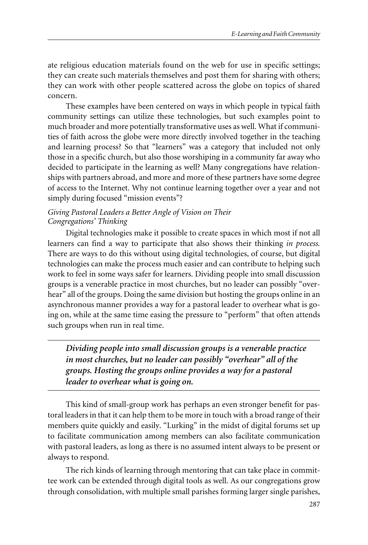ate religious education materials found on the web for use in specific settings; they can create such materials themselves and post them for sharing with others; they can work with other people scattered across the globe on topics of shared concern.

These examples have been centered on ways in which people in typical faith community settings can utilize these technologies, but such examples point to much broader and more potentially transformative uses as well. What if communities of faith across the globe were more directly involved together in the teaching and learning process? So that "learners" was a category that included not only those in a specific church, but also those worshiping in a community far away who decided to participate in the learning as well? Many congregations have relationships with partners abroad, and more and more of these partners have some degree of access to the Internet. Why not continue learning together over a year and not simply during focused "mission events"?

### *Giving Pastoral Leaders a Better Angle of Vision on Their Congregations' Thinking*

Digital technologies make it possible to create spaces in which most if not all learners can find a way to participate that also shows their thinking *in process.* There are ways to do this without using digital technologies, of course, but digital technologies can make the process much easier and can contribute to helping such work to feel in some ways safer for learners. Dividing people into small discussion groups is a venerable practice in most churches, but no leader can possibly "overhear" all of the groups. Doing the same division but hosting the groups online in an asynchronous manner provides a way for a pastoral leader to overhear what is going on, while at the same time easing the pressure to "perform" that often attends such groups when run in real time.

*Dividing people into small discussion groups is a venerable practice in most churches, but no leader can possibly "overhear" all of the groups. Hosting the groups online provides a way for a pastoral leader to overhear what is going on.*

This kind of small-group work has perhaps an even stronger benefit for pastoral leaders in that it can help them to be more in touch with a broad range of their members quite quickly and easily. "Lurking" in the midst of digital forums set up to facilitate communication among members can also facilitate communication with pastoral leaders, as long as there is no assumed intent always to be present or always to respond.

The rich kinds of learning through mentoring that can take place in committee work can be extended through digital tools as well. As our congregations grow through consolidation, with multiple small parishes forming larger single parishes,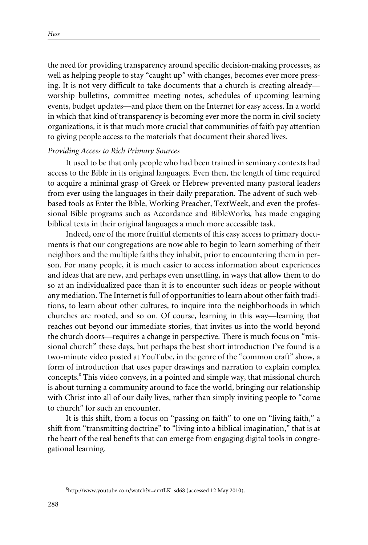the need for providing transparency around specific decision-making processes, as well as helping people to stay "caught up" with changes, becomes ever more pressing. It is not very difficult to take documents that a church is creating already worship bulletins, committee meeting notes, schedules of upcoming learning events, budget updates—and place them on the Internet for easy access. In a world in which that kind of transparency is becoming ever more the norm in civil society organizations, it is that much more crucial that communities of faith pay attention to giving people access to the materials that document their shared lives.

#### *Providing Access to Rich Primary Sources*

It used to be that only people who had been trained in seminary contexts had access to the Bible in its original languages. Even then, the length of time required to acquire a minimal grasp of Greek or Hebrew prevented many pastoral leaders from ever using the languages in their daily preparation. The advent of such webbased tools as Enter the Bible, Working Preacher, TextWeek, and even the professional Bible programs such as Accordance and BibleWorks*,* has made engaging biblical texts in their original languages a much more accessible task.

Indeed, one of the more fruitful elements of this easy access to primary documents is that our congregations are now able to begin to learn something of their neighbors and the multiple faiths they inhabit, prior to encountering them in person. For many people, it is much easier to access information about experiences and ideas that are new, and perhaps even unsettling, in ways that allow them to do so at an individualized pace than it is to encounter such ideas or people without any mediation. The Internet is full of opportunities to learn about other faith traditions, to learn about other cultures, to inquire into the neighborhoods in which churches are rooted, and so on. Of course, learning in this way—learning that reaches out beyond our immediate stories, that invites us into the world beyond the church doors—requires a change in perspective. There is much focus on "missional church" these days, but perhaps the best short introduction I've found is a two-minute video posted at YouTube, in the genre of the "common craft" show, a form of introduction that uses paper drawings and narration to explain complex concepts.<sup>8</sup> This video conveys, in a pointed and simple way, that missional church is about turning a community around to face the world, bringing our relationship with Christ into all of our daily lives, rather than simply inviting people to "come to church" for such an encounter.

It is this shift, from a focus on "passing on faith" to one on "living faith," a shift from "transmitting doctrine" to "living into a biblical imagination," that is at the heart of the real benefits that can emerge from engaging digital tools in congregational learning.

<sup>8</sup> http://www.youtube.com/watch?v=arxfLK\_sd68 (accessed 12 May 2010).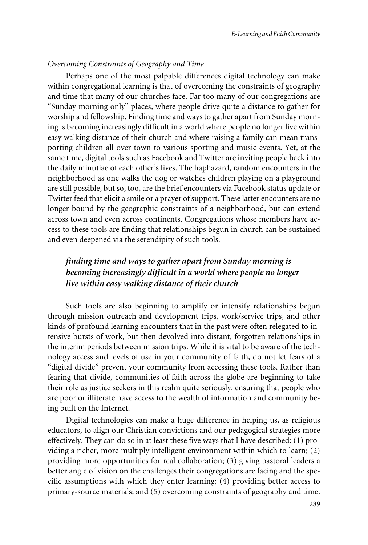#### *Overcoming Constraints of Geography and Time*

Perhaps one of the most palpable differences digital technology can make within congregational learning is that of overcoming the constraints of geography and time that many of our churches face. Far too many of our congregations are "Sunday morning only" places, where people drive quite a distance to gather for worship and fellowship. Finding time and ways to gather apart from Sunday morning is becoming increasingly difficult in a world where people no longer live within easy walking distance of their church and where raising a family can mean transporting children all over town to various sporting and music events. Yet, at the same time, digital tools such as Facebook and Twitter are inviting people back into the daily minutiae of each other's lives. The haphazard, random encounters in the neighborhood as one walks the dog or watches children playing on a playground are still possible, but so, too, are the brief encounters via Facebook status update or Twitter feed that elicit a smile or a prayer of support. These latter encounters are no longer bound by the geographic constraints of a neighborhood, but can extend across town and even across continents. Congregations whose members have access to these tools are finding that relationships begun in church can be sustained and even deepened via the serendipity of such tools.

*finding time and ways to gather apart from Sunday morning is becoming increasingly difficult in a world where people no longer live within easy walking distance of their church*

Such tools are also beginning to amplify or intensify relationships begun through mission outreach and development trips, work/service trips, and other kinds of profound learning encounters that in the past were often relegated to intensive bursts of work, but then devolved into distant, forgotten relationships in the interim periods between mission trips. While it is vital to be aware of the technology access and levels of use in your community of faith, do not let fears of a "digital divide" prevent your community from accessing these tools. Rather than fearing that divide, communities of faith across the globe are beginning to take their role as justice seekers in this realm quite seriously, ensuring that people who are poor or illiterate have access to the wealth of information and community being built on the Internet.

Digital technologies can make a huge difference in helping us, as religious educators, to align our Christian convictions and our pedagogical strategies more effectively. They can do so in at least these five ways that I have described: (1) providing a richer, more multiply intelligent environment within which to learn; (2) providing more opportunities for real collaboration; (3) giving pastoral leaders a better angle of vision on the challenges their congregations are facing and the specific assumptions with which they enter learning; (4) providing better access to primary-source materials; and (5) overcoming constraints of geography and time.